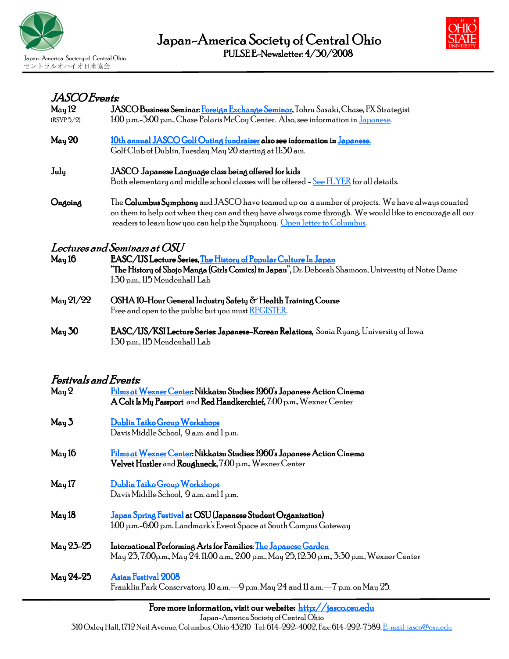



#### JASCO Events: JASCO

| May 12                | <b>JASCO Business Seminar: <u>Foreign Exchange Seminar</u>, T</b> ohru Sasaki, Chase, FX Strategist        |
|-----------------------|------------------------------------------------------------------------------------------------------------|
| (RSVP 5/2)            | 1:00 p.m.–3:00 p.m., Chase Polaris McCoy Center. Also, see information in Japanese.                        |
| May 20                | <u>10th annual JASCO Golf Outing fundraiser</u> also see information in <u>Japanese.</u>                   |
|                       | Golf Club of Dublin, Tuesday May 20 starting at 11:30 am.                                                  |
| July                  | JASCO Japanese Language class being offered for kids                                                       |
|                       | Both elementary and middle school classes will be offered – See FLYER for all details.                     |
| Ongoing               | The <b>Columbus Symphony</b> and JASCO have teamed up on a number of projects. We have always counted      |
|                       | on them to help out when they can and they have always come through. We would like to encourage all our    |
|                       | readers to learn how you can help the Symphony. Open letter to Columbus.                                   |
|                       | Lectures and Seminars at OSU                                                                               |
| May 16                | EASC/IJS Lecture Series, The History of Popular Culture In Japan                                           |
|                       | <b>"The History of Shojo Manga (Girls Comics) in Japan",</b> Dr. Deborah Shamoon, University of Notre Dame |
|                       | 1:30 p.m., 115 Mendenhall Lab                                                                              |
| $M_{\rm{ay}}$ $21/22$ | OSHA 10-Hour General Industry Safety & Health Training Course                                              |
|                       | Free and open to the public but you must REGISTER.                                                         |
| May 30                | EASC/IJS/KSI Lecture Series: Japanese-Korean Relations, Sonia Ryang, University of Iowa                    |
|                       | 1:30 p.m., 115 Mendenhall Lab                                                                              |

## Festivals and Events:

| May <sub>2</sub> | Films at Wexner Center: Nikkatsu Studies: 1960's Japanese Action Cinema<br>A Colt Is My Passport and Red Handkerchief, 7:00 p.m., Wexner Center                         |
|------------------|-------------------------------------------------------------------------------------------------------------------------------------------------------------------------|
| May 3            | Dublin Taiko Group Workshops<br>Davis Middle School, 9 a.m. and 1 p.m.                                                                                                  |
| May 16           | Films at Wexner Center: Nikkatsu Studies: 1960's Japanese Action Cinema<br><b>Velvet Hustler</b> and <b>Roughneck,</b> 7:00 p.m., Wexner Center                         |
| May 17           | Dublin Taiko Group Workshops<br>Davis Middle School, 9 a.m. and 1 p.m.                                                                                                  |
| May 18           | Japan Spring Festival at OSU (Japanese Student Organization)<br>1:00 p.m.-6:00 p.m. Landmark's Event Space at South Campus Gateway                                      |
| May 23-25        | International Performing Arts for Families: <u>The Japanese Garden</u><br>May 23, 7:00p.m., May 24. 11:00 a.m., 2:00 p.m., May 25, 12:30 p.m., 3:30 p.m., Wexner Center |
| May 24-25        | <b>Asian Festival 2008</b><br>Franklin Park Conservatory. 10 a.m. - 9 p.m. May 24 and 11 a.m. - 7 p.m. on May 25.                                                       |